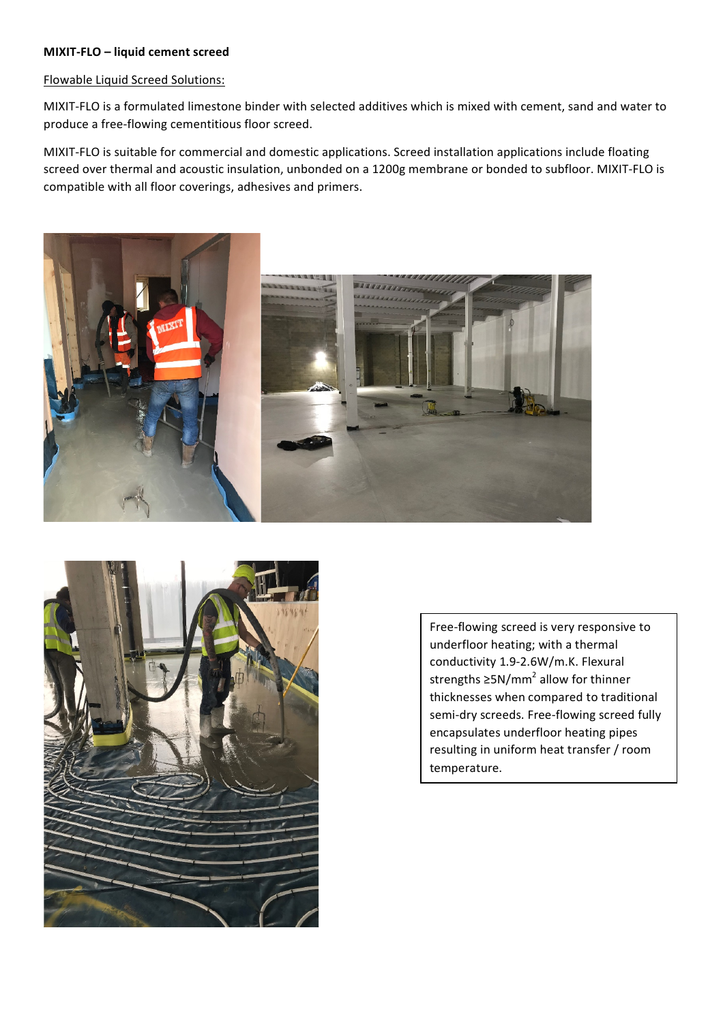## **MIXIT-FLO** – liquid cement screed

## Flowable Liquid Screed Solutions:

MIXIT-FLO is a formulated limestone binder with selected additives which is mixed with cement, sand and water to produce a free-flowing cementitious floor screed.

MIXIT-FLO is suitable for commercial and domestic applications. Screed installation applications include floating screed over thermal and acoustic insulation, unbonded on a 1200g membrane or bonded to subfloor. MIXIT-FLO is compatible with all floor coverings, adhesives and primers.





Free-flowing screed is very responsive to underfloor heating; with a thermal conductivity 1.9-2.6W/m.K. Flexural strengths  $\geq 5N/mm^2$  allow for thinner thicknesses when compared to traditional semi-dry screeds. Free-flowing screed fully encapsulates underfloor heating pipes resulting in uniform heat transfer / room temperature.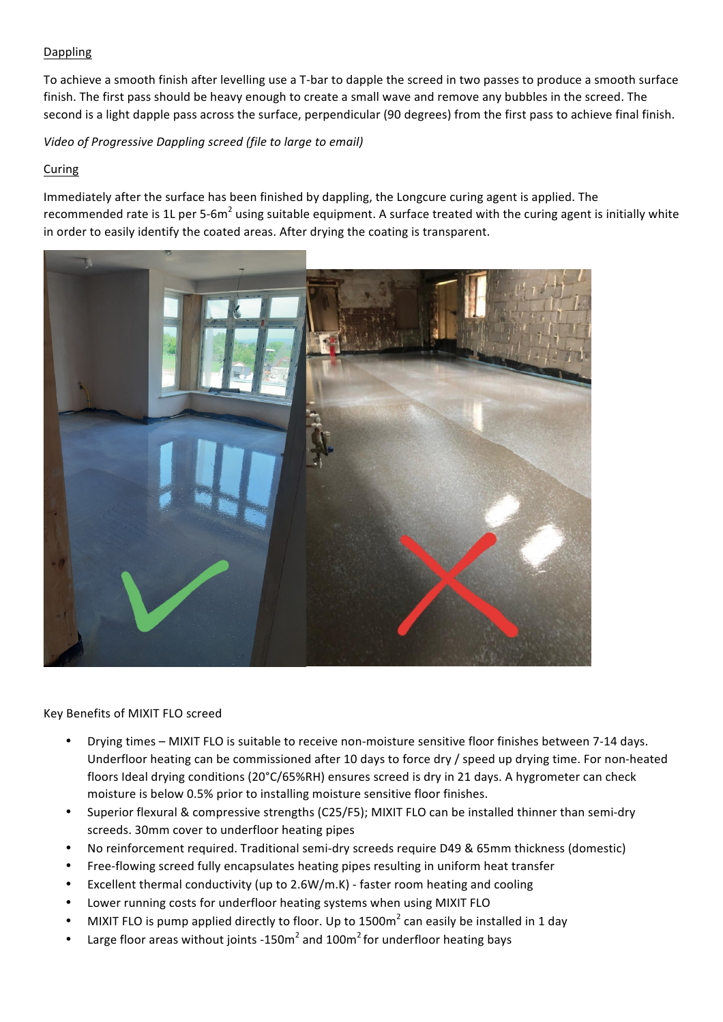## Dappling

To achieve a smooth finish after levelling use a T-bar to dapple the screed in two passes to produce a smooth surface finish. The first pass should be heavy enough to create a small wave and remove any bubbles in the screed. The second is a light dapple pass across the surface, perpendicular (90 degrees) from the first pass to achieve final finish.

*Video of Progressive Dappling screed (file to large to email)* 

## Curing

Immediately after the surface has been finished by dappling, the Longcure curing agent is applied. The recommended rate is 1L per 5-6m<sup>2</sup> using suitable equipment. A surface treated with the curing agent is initially white in order to easily identify the coated areas. After drying the coating is transparent.



Key Benefits of MIXIT FLO screed

- Drying times MIXIT FLO is suitable to receive non-moisture sensitive floor finishes between 7-14 days. Underfloor heating can be commissioned after 10 days to force dry / speed up drying time. For non-heated floors Ideal drying conditions  $(20^{\circ}C/65\%RH)$  ensures screed is dry in 21 days. A hygrometer can check moisture is below 0.5% prior to installing moisture sensitive floor finishes.
- Superior flexural & compressive strengths (C25/F5); MIXIT FLO can be installed thinner than semi-dry screeds. 30mm cover to underfloor heating pipes
- No reinforcement required. Traditional semi-dry screeds require D49 & 65mm thickness (domestic)
- Free-flowing screed fully encapsulates heating pipes resulting in uniform heat transfer
- Excellent thermal conductivity (up to  $2.6W/m.K$ ) faster room heating and cooling
- Lower running costs for underfloor heating systems when using MIXIT FLO
- MIXIT FLO is pump applied directly to floor. Up to 1500m<sup>2</sup> can easily be installed in 1 day
- Large floor areas without joints -150 $m^2$  and 100 $m^2$  for underfloor heating bays